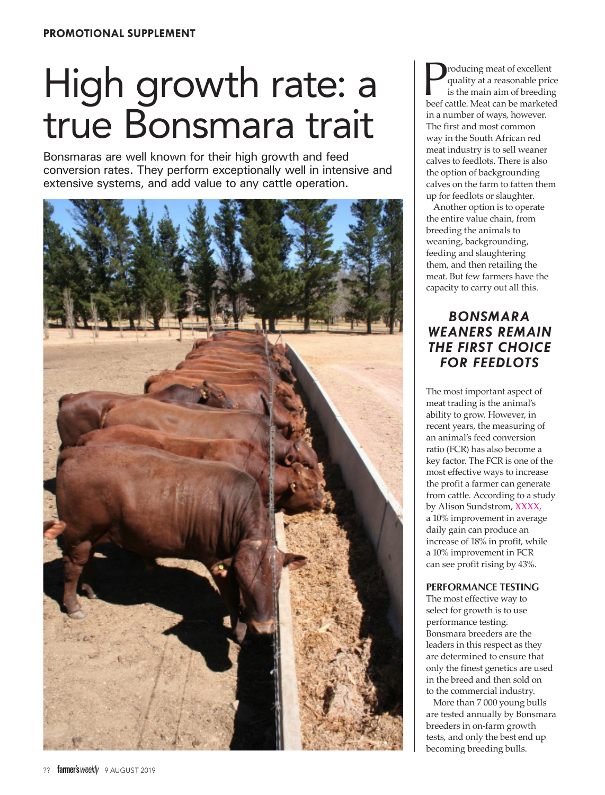# High growth rate: a true Bonsmara trait

Bonsmaras are well known for their high growth and feed conversion rates. They perform exceptionally well in intensive and extensive systems, and add value to any cattle operation.



Producing meat of excellent<br>quality at a reasonable price<br>is the main aim of breeding<br>beef cattle. Meat can be marketed quality at a reasonable price is the main aim of breeding beef cattle. Meat can be marketed in a number of ways, however. The first and most common way in the South African red meat industry is to sell weaner calves to feedlots. There is also the option of backgrounding calves on the farm to fatten them up for feedlots or slaughter.

Another option is to operate the entire value chain, from breeding the animals to weaning, backgrounding, feeding and slaughtering them, and then retailing the meat. But few farmers have the capacity to carry out all this.

# *BONSMARA WEANERS REMAIN THE FIRST CHOICE FOR FEEDLOTS*

The most important aspect of meat trading is the animal's ability to grow. However, in recent years, the measuring of an animal's feed conversion ratio (FCR) has also become a key factor. The FCR is one of the most effective ways to increase the profit a farmer can generate from cattle. According to a study by Alison Sundstrom, XXXX, a 10% improvement in average daily gain can produce an increase of 18% in profit, while a 10% improvement in FCR can see profit rising by 43%.

# **PERFORMANCE TESTING**

The most effective way to select for growth is to use performance testing. Bonsmara breeders are the leaders in this respect as they are determined to ensure that only the finest genetics are used in the breed and then sold on to the commercial industry.

More than 7 000 young bulls are tested annually by Bonsmara breeders in on-farm growth tests, and only the best end up becoming breeding bulls.